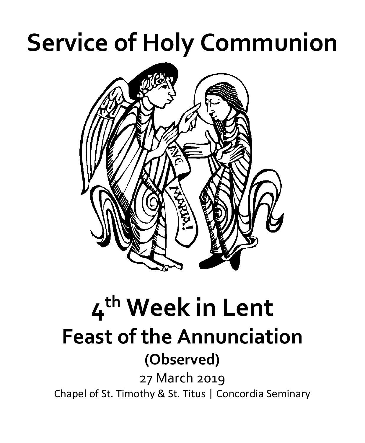# **Service of Holy Communion**



## **4th Week in Lent Feast of the Annunciation (Observed)** 27 March 2019 Chapel of St. Timothy & St. Titus | Concordia Seminary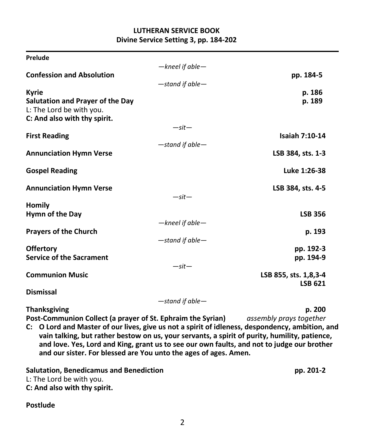#### **LUTHERAN SERVICE BOOK Divine Service Setting 3, pp. 184-202**

| Prelude                                                     |                       |                         |
|-------------------------------------------------------------|-----------------------|-------------------------|
|                                                             | $-$ kneel if able $-$ |                         |
| <b>Confession and Absolution</b>                            |                       | pp. 184-5               |
|                                                             | -stand if able-       |                         |
| <b>Kyrie</b>                                                |                       | p. 186                  |
| Salutation and Prayer of the Day                            |                       | p. 189                  |
| L: The Lord be with you.                                    |                       |                         |
| C: And also with thy spirit.                                |                       |                         |
|                                                             | $-sit-$               |                         |
| <b>First Reading</b>                                        |                       | <b>Isaiah 7:10-14</b>   |
|                                                             | $-$ stand if able $-$ |                         |
| <b>Annunciation Hymn Verse</b>                              |                       | LSB 384, sts. 1-3       |
|                                                             |                       | Luke 1:26-38            |
| <b>Gospel Reading</b>                                       |                       |                         |
| <b>Annunciation Hymn Verse</b>                              |                       | LSB 384, sts. 4-5       |
|                                                             | $-sit-$               |                         |
| <b>Homily</b>                                               |                       |                         |
| Hymn of the Day                                             |                       | <b>LSB 356</b>          |
|                                                             | $-$ kneel if able $-$ |                         |
| <b>Prayers of the Church</b>                                |                       | p. 193                  |
|                                                             | $-$ stand if able $-$ |                         |
| <b>Offertory</b>                                            |                       | pp. 192-3               |
| <b>Service of the Sacrament</b>                             |                       | pp. 194-9               |
|                                                             | $-sit-$               |                         |
| <b>Communion Music</b>                                      |                       | LSB 855, sts. 1,8,3-4   |
|                                                             |                       | <b>LSB 621</b>          |
| <b>Dismissal</b>                                            |                       |                         |
|                                                             | $-$ stand if able $-$ |                         |
| <b>Thanksgiving</b>                                         |                       | p. 200                  |
| Post-Communion Collect (a prayer of St. Ephraim the Syrian) |                       | assembly prays together |

**C: O Lord and Master of our lives, give us not a spirit of idleness, despondency, ambition, and vain talking, but rather bestow on us, your servants, a spirit of purity, humility, patience, and love. Yes, Lord and King, grant us to see our own faults, and not to judge our brother and our sister. For blessed are You unto the ages of ages. Amen.**

**Salutation, Benedicamus and Benediction pp. 201-2** L: The Lord be with you. **C: And also with thy spirit.**

#### **Postlude**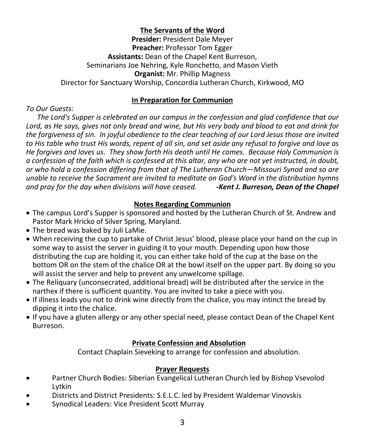#### **The Servants of the Word**

**Presider:** President Dale Meyer **Preacher:** Professor Tom Egger **Assistants:** Dean of the Chapel Kent Burreson, Seminarians Joe Nehring, Kyle Ronchetto, and Mason Vieth **Organist:** Mr. Phillip Magness Director for Sanctuary Worship, Concordia Lutheran Church, Kirkwood, MO

#### **In Preparation for Communion**

*To Our Guests:*

 *The Lord's Supper is celebrated on our campus in the confession and glad confidence that our Lord, as He says, gives not only bread and wine, but His very body and blood to eat and drink for the forgiveness of sin. In joyful obedience to the clear teaching of our Lord Jesus those are invited to His table who trust His words, repent of all sin, and set aside any refusal to forgive and love as He forgives and loves us. They show forth His death until He comes. Because Holy Communion is a confession of the faith which is confessed at this altar, any who are not yet instructed, in doubt, or who hold a confession differing from that of The Lutheran Church—Missouri Synod and so are unable to receive the Sacrament are invited to meditate on God's Word in the distribution hymns and pray for the day when divisions will have ceased. -Kent J. Burreson, Dean of the Chapel*

#### **Notes Regarding Communion**

- The campus Lord's Supper is sponsored and hosted by the Lutheran Church of St. Andrew and Pastor Mark Hricko of Silver Spring, Maryland.
- The bread was baked by Juli LaMie.
- When receiving the cup to partake of Christ Jesus' blood, please place your hand on the cup in some way to assist the server in guiding it to your mouth. Depending upon how those distributing the cup are holding it, you can either take hold of the cup at the base on the bottom OR on the stem of the chalice OR at the bowl itself on the upper part. By doing so you will assist the server and help to prevent any unwelcome spillage.
- The Reliquary (unconsecrated, additional bread) will be distributed after the service in the narthex if there is sufficient quantity. You are invited to take a piece with you.
- If illness leads you not to drink wine directly from the chalice, you may intinct the bread by dipping it into the chalice.
- If you have a gluten allergy or any other special need, please contact Dean of the Chapel Kent Burreson.

### **Private Confession and Absolution**

Contact Chaplain Sieveking to arrange for confession and absolution.

### **Prayer Requests**

- Partner Church Bodies: Siberian Evangelical Lutheran Church led by Bishop Vsevolod Lytkin
- Districts and District Presidents: S.E.L.C. led by President Waldemar Vinovskis
- Synodical Leaders: Vice President Scott Murray